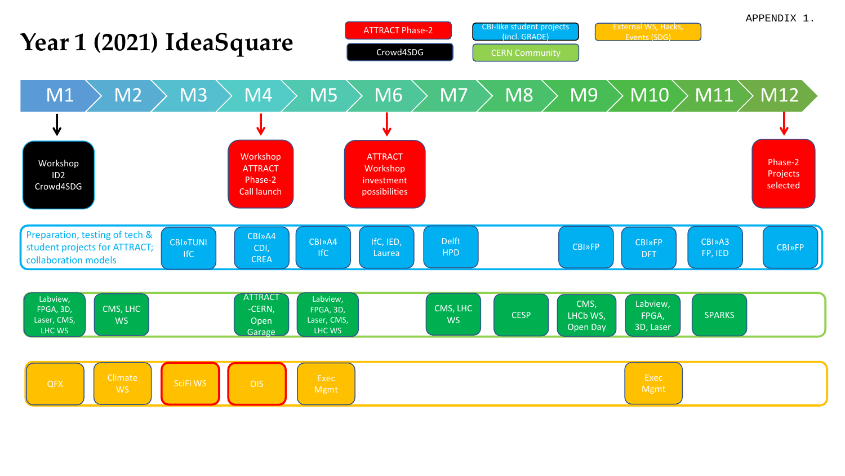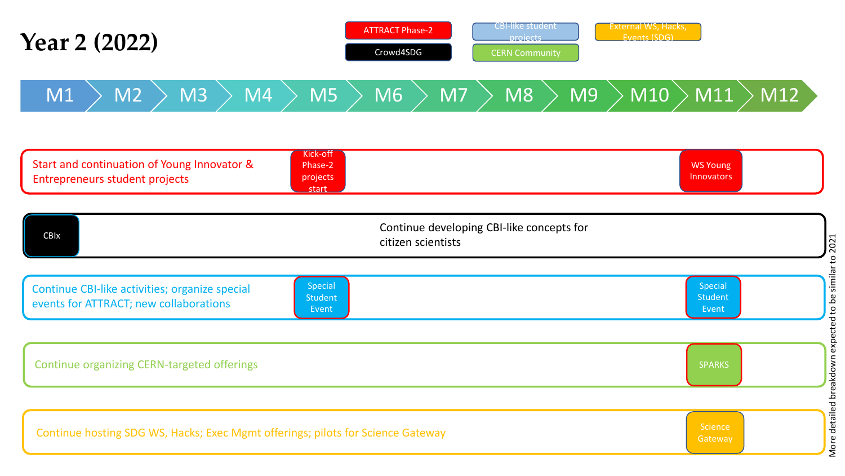| <b>Year 2 (2022)</b>                                                                                                             | <b>ATTRACT Phase-2</b><br>Crowd4SDG | <b>CBI-like student</b><br>External WS, Hacks,<br>Events (SDG)<br>projects<br><b>CERN Community</b> |                                                                                                          |
|----------------------------------------------------------------------------------------------------------------------------------|-------------------------------------|-----------------------------------------------------------------------------------------------------|----------------------------------------------------------------------------------------------------------|
| M3<br>M4<br>M1<br>M <sub>2</sub>                                                                                                 | M5<br>M7<br>M6                      | M9<br>M8                                                                                            | $\overline{\rm \mid M10~} \rangle$ $\overline{\rm \mid M11~} \rangle$ $\overline{\rm \mid M12~} \rangle$ |
| Kick-off<br>Start and continuation of Young Innovator &<br>Phase-2<br><b>Entrepreneurs student projects</b><br>projects<br>start |                                     |                                                                                                     | <b>WS Young</b><br>Innovators                                                                            |
| Continue developing CBI-like concepts for<br><b>CBIx</b><br>citizen scientists                                                   |                                     |                                                                                                     |                                                                                                          |
| Special<br>Continue CBI-like activities; organize special<br><b>Student</b><br>events for ATTRACT; new collaborations            | Event                               |                                                                                                     | Special<br><b>Student</b><br>Event                                                                       |
| Continue organizing CERN-targeted offerings                                                                                      |                                     |                                                                                                     | <b>SPARKS</b>                                                                                            |

Continue hosting SDG WS, Hacks; Exec Mgmt offerings; pilots for Science Gateway

More detailed breakdown expected to be similar to 2021 More detailed breakdown expected to be similar to 2021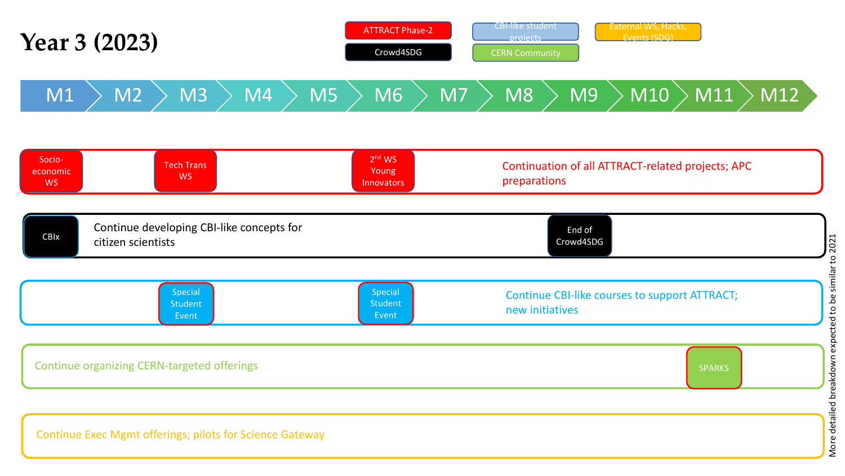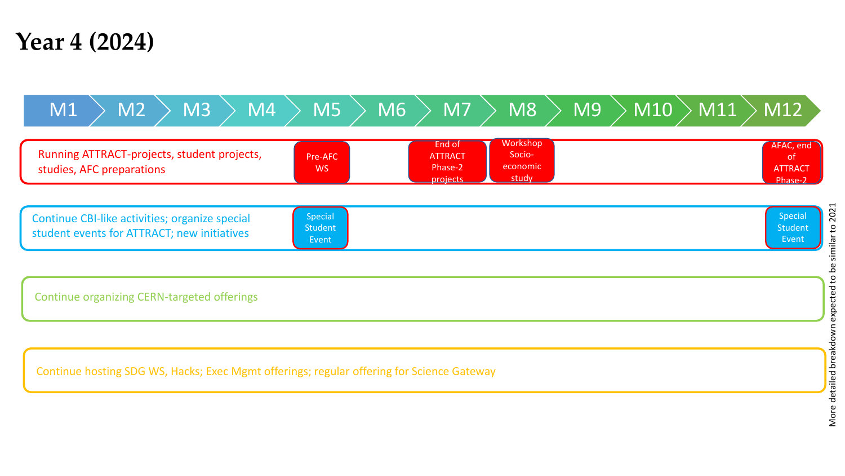## **Year 4 (2024)**



More detailed breakdown expected to be similar to 2021 More detailed breakdown expected to be similar to 2021